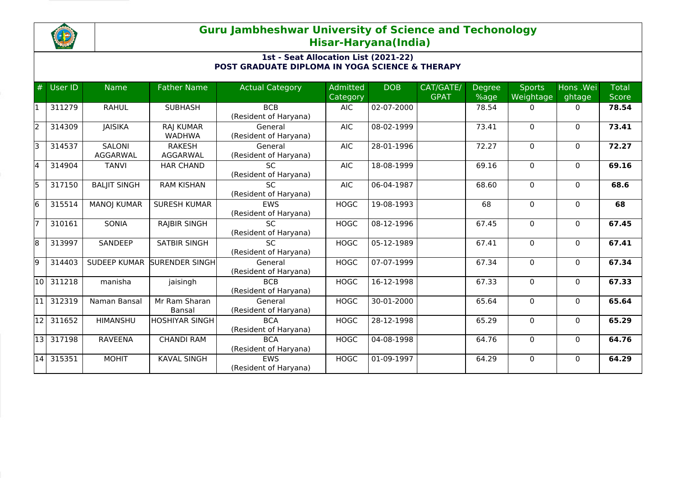

## **Guru Jambheshwar University of Science and Techonology Hisar-Haryana(India)**

## **1st - Seat Allocation List (2021-22) POST GRADUATE DIPLOMA IN YOGA SCIENCE & THERAPY**

| #     | User ID   | <b>Name</b>               | <b>Father Name</b>                | <b>Actual Category</b>              | <b>Admitted</b><br><b>Category</b> | <b>DOB</b> | CAT/GATE/<br><b>GPAT</b> | <b>Degree</b><br>%age | <b>Sports</b><br>Weightage | Hons .Wei<br>ghtage | <b>Total</b><br><b>Score</b> |
|-------|-----------|---------------------------|-----------------------------------|-------------------------------------|------------------------------------|------------|--------------------------|-----------------------|----------------------------|---------------------|------------------------------|
|       | 311279    | <b>RAHUL</b>              | <b>SUBHASH</b>                    | <b>BCB</b><br>(Resident of Haryana) | <b>AIC</b>                         | 02-07-2000 |                          | 78.54                 | $\Omega$                   | $\Omega$            | 78.54                        |
| l2    | 314309    | <b>JAISIKA</b>            | <b>RAJ KUMAR</b><br><b>WADHWA</b> | General<br>(Resident of Haryana)    | <b>AIC</b>                         | 08-02-1999 |                          | 73.41                 | $\Omega$                   | $\Omega$            | 73.41                        |
| lз    | 314537    | <b>SALONI</b><br>AGGARWAL | <b>RAKESH</b><br>AGGARWAL         | General<br>(Resident of Haryana)    | <b>AIC</b>                         | 28-01-1996 |                          | 72.27                 | $\Omega$                   | $\mathbf{0}$        | 72.27                        |
| 14    | 314904    | <b>TANVI</b>              | <b>HAR CHAND</b>                  | <b>SC</b><br>(Resident of Haryana)  | <b>AIC</b>                         | 18-08-1999 |                          | 69.16                 | $\Omega$                   | $\mathbf{0}$        | 69.16                        |
| l5    | 317150    | <b>BALJIT SINGH</b>       | <b>RAM KISHAN</b>                 | <b>SC</b><br>(Resident of Haryana)  | <b>AIC</b>                         | 06-04-1987 |                          | 68.60                 | $\Omega$                   | $\mathbf{0}$        | 68.6                         |
| l6    | 315514    | <b>MANOJ KUMAR</b>        | <b>SURESH KUMAR</b>               | <b>EWS</b><br>(Resident of Haryana) | <b>HOGC</b>                        | 19-08-1993 |                          | 68                    | 0                          | $\mathbf{0}$        | 68                           |
|       | 310161    | SONIA                     | <b>RAJBIR SINGH</b>               | <b>SC</b><br>(Resident of Haryana)  | <b>HOGC</b>                        | 08-12-1996 |                          | 67.45                 | $\Omega$                   | $\mathbf{0}$        | 67.45                        |
| 18    | 313997    | SANDEEP                   | <b>SATBIR SINGH</b>               | SC.<br>(Resident of Haryana)        | <b>HOGC</b>                        | 05-12-1989 |                          | 67.41                 | 0                          | $\mathbf{0}$        | 67.41                        |
| l9    | 314403    | <b>SUDEEP KUMAR</b>       | SURENDER SINGH                    | General<br>(Resident of Haryana)    | <b>HOGC</b>                        | 07-07-1999 |                          | 67.34                 | $\Omega$                   | $\mathbf{0}$        | 67.34                        |
|       | 10 311218 | manisha                   | jaisingh                          | <b>BCB</b><br>(Resident of Haryana) | <b>HOGC</b>                        | 16-12-1998 |                          | 67.33                 | $\mathbf 0$                | $\mathbf{0}$        | 67.33                        |
|       | 312319    | Naman Bansal              | Mr Ram Sharan<br>Bansal           | General<br>(Resident of Haryana)    | <b>HOGC</b>                        | 30-01-2000 |                          | 65.64                 | 0                          | $\mathbf{0}$        | 65.64                        |
| 12    | 311652    | <b>HIMANSHU</b>           | HOSHIYAR SINGH                    | <b>BCA</b><br>(Resident of Haryana) | <b>HOGC</b>                        | 28-12-1998 |                          | 65.29                 | 0                          | $\mathbf{0}$        | 65.29                        |
| l13 l | 317198    | <b>RAVEENA</b>            | <b>CHANDI RAM</b>                 | <b>BCA</b><br>(Resident of Haryana) | <b>HOGC</b>                        | 04-08-1998 |                          | 64.76                 | $\mathbf 0$                | $\mathbf{0}$        | 64.76                        |
|       | 14 315351 | <b>MOHIT</b>              | <b>KAVAL SINGH</b>                | <b>EWS</b><br>(Resident of Haryana) | <b>HOGC</b>                        | 01-09-1997 |                          | 64.29                 | $\Omega$                   | $\Omega$            | 64.29                        |